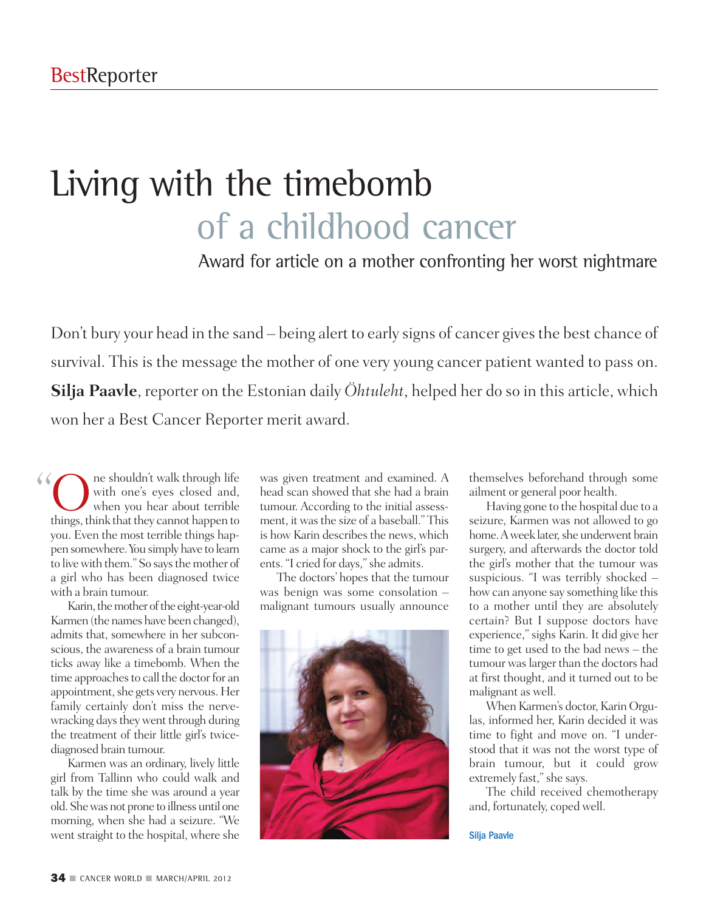## Living with the timebomb of a childhood cancer

Award for article on a mother confronting her worst nightmare

Don't bury your head in the sand – being alert to early signs of cancer gives the best chance of survival. This is the message the mother of one very young cancer patient wanted to pass on. **Silja Paavle**, reporter on the Estonian daily *Öhtuleht*, helped her do so in this article, which won her a Best Cancer Reporter merit award.

The shouldn't walk through life<br>with one's eyes closed and,<br>when you hear about terrible<br>things think that they cannot happen to with one's eyes closed and, when you hear about terrible things, think that they cannot happen to you. Even the most terrible things happen somewhere.You simply have to learn to live with them." So says the mother of a girl who has been diagnosed twice with a brain tumour.  $\frac{1}{1}$ 

Karin, the mother of the eight-year-old Karmen (the names have been changed), admits that, somewhere in her subconscious, the awareness of a brain tumour ticks away like a timebomb. When the time approaches to call the doctor for an appointment, she gets very nervous. Her family certainly don't miss the nervewracking days they went through during the treatment of their little girl's twicediagnosed brain tumour.

Karmen was an ordinary, lively little girl from Tallinn who could walk and talk by the time she was around a year old.Shewas not prone to illness until one morning, when she had a seizure. "We went straight to the hospital, where she

was given treatment and examined. A head scan showed that she had a brain tumour. According to the initial assessment, it was the size of a baseball." This is how Karin describes the news, which came as a major shock to the girl's parents. "I cried for days,"she admits.

The doctors' hopes that the tumour was benign was some consolation – malignant tumours usually announce



themselves beforehand through some ailment or general poor health.

Having gone to the hospital due to a seizure, Karmen was not allowed to go home. A week later, she underwent brain surgery, and afterwards the doctor told the girl's mother that the tumour was suspicious. "I was terribly shocked – how can anyone say something like this to a mother until they are absolutely certain? But I suppose doctors have experience," sighs Karin. It did give her time to get used to the bad news – the tumour waslarger than the doctors had at first thought, and it turned out to be malignant as well.

When Karmen's doctor, Karin Orgulas, informed her, Karin decided it was time to fight and move on. "I understood that it was not the worst type of brain tumour, but it could grow extremely fast," she says.

The child received chemotherapy and, fortunately, coped well.

Silja Paavle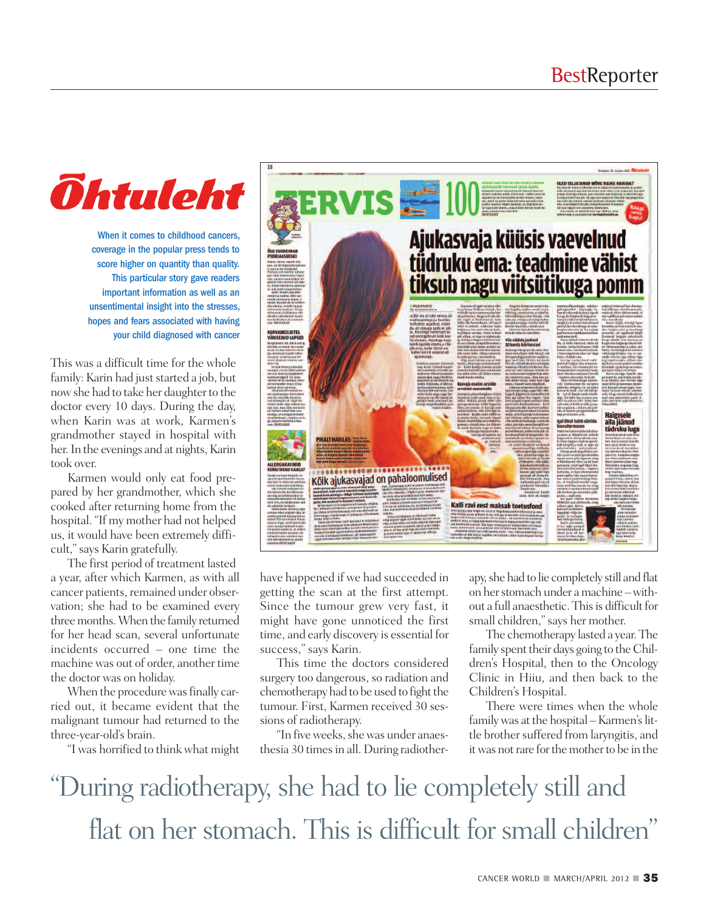## *<u>Ohtuleht</u>*

When it comes to childhood cancers, coverage in the popular press tends to score higher on quantity than quality. This particular story gave readers important information as well as an unsentimental insight into the stresses, hopes and fears associated with having your child diagnosed with cancer

This was a difficult time for the whole family: Karin had just started a job, but now she had to take her daughter to the doctor every 10 days. During the day, when Karin was at work, Karmen's grandmother stayed in hospital with her. In the evenings and at nights, Karin took over.

Karmen would only eat food prepared by her grandmother, which she cooked after returning home from the hospital. "If my mother had not helped us, it would have been extremely difficult,"says Karin gratefully.

The first period of treatment lasted a year, after which Karmen, as with all cancer patients, remained under observation; she had to be examined every three months. When the family returned for her head scan, several unfortunate incidents occurred – one time the machine was out of order, another time the doctor was on holiday.

When the procedure was finally carried out, it became evident that the malignant tumour had returned to the three-year-old's brain.

"I was horrified to think what might



have happened if we had succeeded in getting the scan at the first attempt. Since the tumour grew very fast, it might have gone unnoticed the first time, and early discovery is essential for success," says Karin.

This time the doctors considered surgery too dangerous, so radiation and chemotherapy had to be used to fight the tumour. First, Karmen received 30 sessions of radiotherapy.

"In five weeks, she was under anaesthesia 30 times in all. During radiotherapy,she had to lie completely still and flat on her stomach under a machine – without a full anaesthetic. This is difficult for small children,"says her mother.

The chemotherapy lasted a year.The family spent their days going to the Children's Hospital, then to the Oncology Clinic in Hiiu, and then back to the Children's Hospital.

There were times when the whole family was at the hospital – Karmen's little brother suffered from laryngitis, and it was not rare for the mother to be in the

"During radiotherapy, she had to lie completely still and flat on her stomach. This is difficult for small children"